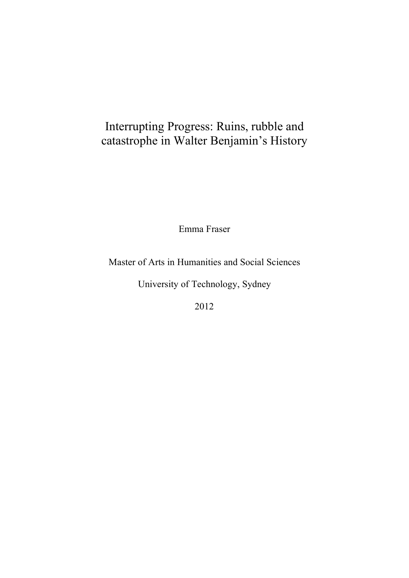# Interrupting Progress: Ruins, rubble and catastrophe in Walter Benjamin's History

Emma Fraser

Master of Arts in Humanities and Social Sciences

University of Technology, Sydney

2012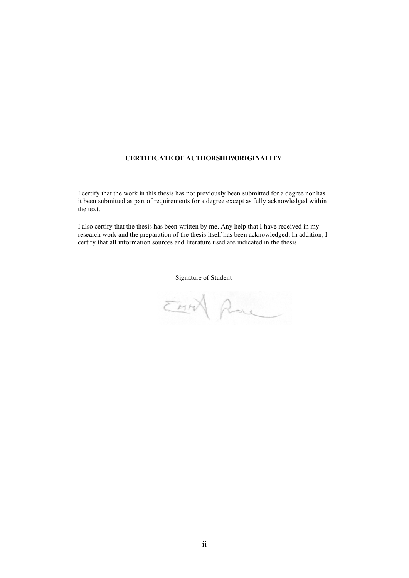#### **CERTIFICATE OF AUTHORSHIP/ORIGINALITY**

I certify that the work in this thesis has not previously been submitted for a degree nor has it been submitted as part of requirements for a degree except as fully acknowledged within the text.

I also certify that the thesis has been written by me. Any help that I have received in my research work and the preparation of the thesis itself has been acknowledged. In addition, I certify that all information sources and literature used are indicated in the thesis.

Signature of Student

EMAN Ame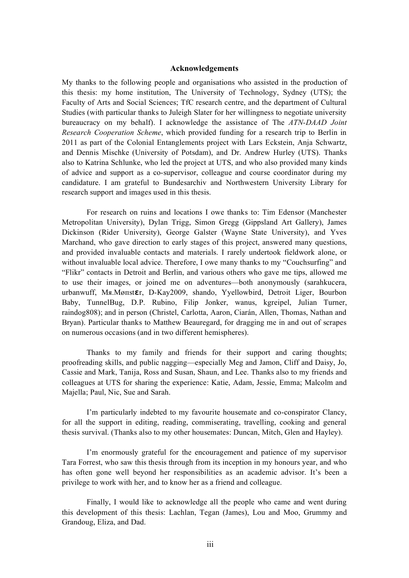#### **Acknowledgements**

My thanks to the following people and organisations who assisted in the production of this thesis: my home institution, The University of Technology, Sydney (UTS); the Faculty of Arts and Social Sciences; TfC research centre, and the department of Cultural Studies (with particular thanks to Juleigh Slater for her willingness to negotiate university bureaucracy on my behalf). I acknowledge the assistance of The *ATN-DAAD Joint Research Cooperation Scheme*, which provided funding for a research trip to Berlin in 2011 as part of the Colonial Entanglements project with Lars Eckstein, Anja Schwartz, and Dennis Mischke (University of Potsdam), and Dr. Andrew Hurley (UTS). Thanks also to Katrina Schlunke, who led the project at UTS, and who also provided many kinds of advice and support as a co-supervisor, colleague and course coordinator during my candidature. I am grateful to Bundesarchiv and Northwestern University Library for research support and images used in this thesis.

For research on ruins and locations I owe thanks to: Tim Edensor (Manchester Metropolitan University), Dylan Trigg, Simon Gregg (Gippsland Art Gallery), James Dickinson (Rider University), George Galster (Wayne State University), and Yves Marchand, who gave direction to early stages of this project, answered many questions, and provided invaluable contacts and materials. I rarely undertook fieldwork alone, or without invaluable local advice. Therefore, I owe many thanks to my "Couchsurfing" and "Flikr" contacts in Detroit and Berlin, and various others who gave me tips, allowed me to use their images, or joined me on adventures—both anonymously (sarahkucera, urbanwuff, Ms.Mønst $\varepsilon$ r, D-Kay2009, shando, Yyellowbird, Detroit Liger, Bourbon Baby, TunnelBug, D.P. Rubino, Filip Jonker, wanus, kgreipel, Julian Turner, raindog808); and in person (Christel, Carlotta, Aaron, Ciarán, Allen, Thomas, Nathan and Bryan). Particular thanks to Matthew Beauregard, for dragging me in and out of scrapes on numerous occasions (and in two different hemispheres).

Thanks to my family and friends for their support and caring thoughts; proofreading skills, and public nagging—especially Meg and Jamon, Cliff and Daisy, Jo, Cassie and Mark, Tanija, Ross and Susan, Shaun, and Lee. Thanks also to my friends and colleagues at UTS for sharing the experience: Katie, Adam, Jessie, Emma; Malcolm and Majella; Paul, Nic, Sue and Sarah.

I'm particularly indebted to my favourite housemate and co-conspirator Clancy, for all the support in editing, reading, commiserating, travelling, cooking and general thesis survival. (Thanks also to my other housemates: Duncan, Mitch, Glen and Hayley).

I'm enormously grateful for the encouragement and patience of my supervisor Tara Forrest, who saw this thesis through from its inception in my honours year, and who has often gone well beyond her responsibilities as an academic advisor. It's been a privilege to work with her, and to know her as a friend and colleague.

Finally, I would like to acknowledge all the people who came and went during this development of this thesis: Lachlan, Tegan (James), Lou and Moo, Grummy and Grandoug, Eliza, and Dad.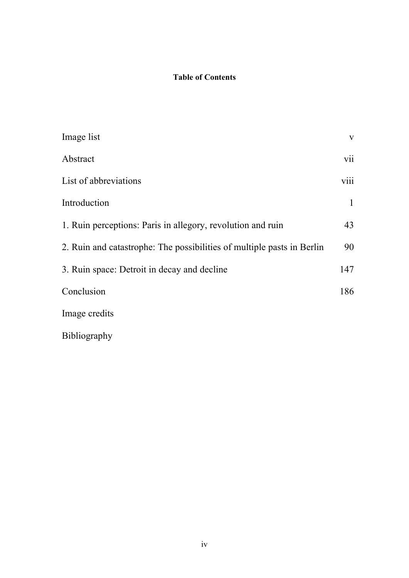## **Table of Contents**

| Image list                                                             | $\mathbf V$  |
|------------------------------------------------------------------------|--------------|
| Abstract                                                               | vii          |
| List of abbreviations                                                  | viii         |
| Introduction                                                           | $\mathbf{1}$ |
| 1. Ruin perceptions: Paris in allegory, revolution and ruin            | 43           |
| 2. Ruin and catastrophe: The possibilities of multiple pasts in Berlin | 90           |
| 3. Ruin space: Detroit in decay and decline                            | 147          |
| Conclusion                                                             | 186          |
| Image credits                                                          |              |
| <b>Bibliography</b>                                                    |              |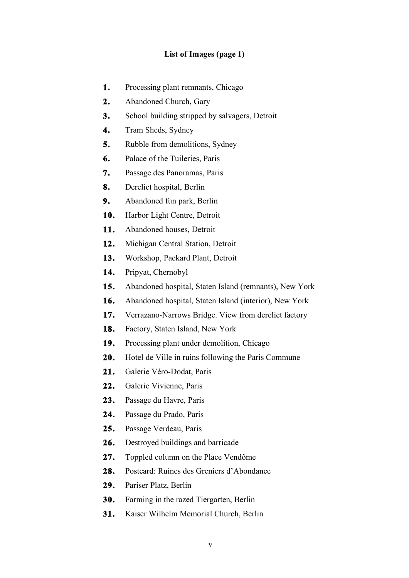#### **List of Images (page 1)**

- **1.** Processing plant remnants, Chicago
- **2.** Abandoned Church, Gary
- **3.** School building stripped by salvagers, Detroit
- **4.** Tram Sheds, Sydney
- **5.** Rubble from demolitions, Sydney
- **6.** Palace of the Tuileries, Paris
- **7.** Passage des Panoramas, Paris
- **8.** Derelict hospital, Berlin
- **9.** Abandoned fun park, Berlin
- **10.** Harbor Light Centre, Detroit
- **11.** Abandoned houses, Detroit
- **12.** Michigan Central Station, Detroit
- **13.** Workshop, Packard Plant, Detroit
- **14.** Pripyat, Chernobyl
- **15.** Abandoned hospital, Staten Island (remnants), New York
- **16.** Abandoned hospital, Staten Island (interior), New York
- **17.** Verrazano-Narrows Bridge. View from derelict factory
- **18.** Factory, Staten Island, New York
- **19.** Processing plant under demolition, Chicago
- **20.** Hotel de Ville in ruins following the Paris Commune
- **21.** Galerie Véro-Dodat, Paris
- **22.** Galerie Vivienne, Paris
- **23.** Passage du Havre, Paris
- **24.** Passage du Prado, Paris
- **25.** Passage Verdeau, Paris
- **26.** Destroyed buildings and barricade
- **27.** Toppled column on the Place Vendôme
- **28.** Postcard: Ruines des Greniers d'Abondance
- **29.** Pariser Platz, Berlin
- **30.** Farming in the razed Tiergarten, Berlin
- **31.** Kaiser Wilhelm Memorial Church, Berlin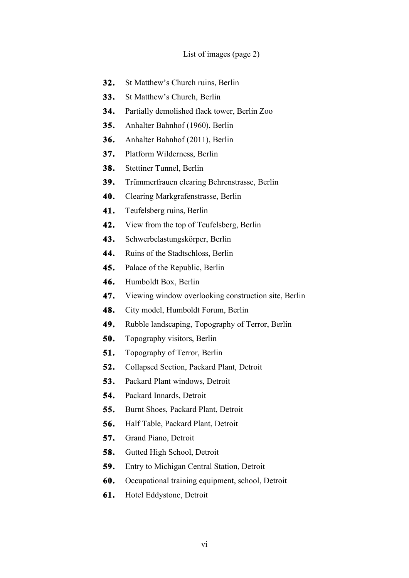#### List of images (page 2)

- **32.** St Matthew's Church ruins, Berlin
- **33.** St Matthew's Church, Berlin
- **34.** Partially demolished flack tower, Berlin Zoo
- **35.** Anhalter Bahnhof (1960), Berlin
- **36.** Anhalter Bahnhof (2011), Berlin
- **37.** Platform Wilderness, Berlin
- **38.** Stettiner Tunnel, Berlin
- **39.** Trümmerfrauen clearing Behrenstrasse, Berlin
- **40.** Clearing Markgrafenstrasse, Berlin
- **41.** Teufelsberg ruins, Berlin
- **42.** View from the top of Teufelsberg, Berlin
- **43.** Schwerbelastungskörper, Berlin
- **44.** Ruins of the Stadtschloss, Berlin
- **45.** Palace of the Republic, Berlin
- **46.** Humboldt Box, Berlin
- **47.** Viewing window overlooking construction site, Berlin
- **48.** City model, Humboldt Forum, Berlin
- **49.** Rubble landscaping, Topography of Terror, Berlin
- **50.** Topography visitors, Berlin
- **51.** Topography of Terror, Berlin
- **52.** Collapsed Section, Packard Plant, Detroit
- **53.** Packard Plant windows, Detroit
- **54.** Packard Innards, Detroit
- **55.** Burnt Shoes, Packard Plant, Detroit
- **56.** Half Table, Packard Plant, Detroit
- **57.** Grand Piano, Detroit
- **58.** Gutted High School, Detroit
- **59.** Entry to Michigan Central Station, Detroit
- **60.** Occupational training equipment, school, Detroit
- **61.** Hotel Eddystone, Detroit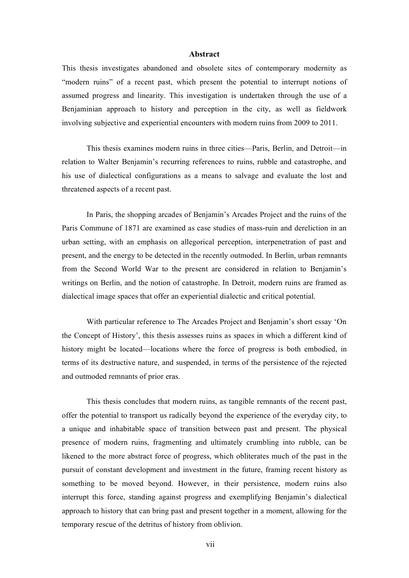#### **Abstract**

This thesis investigates abandoned and obsolete sites of contemporary modernity as "modern ruins" of a recent past, which present the potential to interrupt notions of assumed progress and linearity. This investigation is undertaken through the use of a Benjaminian approach to history and perception in the city, as well as fieldwork involving subjective and experiential encounters with modern ruins from 2009 to 2011.

This thesis examines modern ruins in three cities—Paris, Berlin, and Detroit—in relation to Walter Benjamin's recurring references to ruins, rubble and catastrophe, and his use of dialectical configurations as a means to salvage and evaluate the lost and threatened aspects of a recent past.

In Paris, the shopping arcades of Benjamin's Arcades Project and the ruins of the Paris Commune of 1871 are examined as case studies of mass-ruin and dereliction in an urban setting, with an emphasis on allegorical perception, interpenetration of past and present, and the energy to be detected in the recently outmoded. In Berlin, urban remnants from the Second World War to the present are considered in relation to Benjamin's writings on Berlin, and the notion of catastrophe. In Detroit, modern ruins are framed as dialectical image spaces that offer an experiential dialectic and critical potential.

With particular reference to The Arcades Project and Benjamin's short essay 'On the Concept of History', this thesis assesses ruins as spaces in which a different kind of history might be located—locations where the force of progress is both embodied, in terms of its destructive nature, and suspended, in terms of the persistence of the rejected and outmoded remnants of prior eras.

This thesis concludes that modern ruins, as tangible remnants of the recent past, offer the potential to transport us radically beyond the experience of the everyday city, to a unique and inhabitable space of transition between past and present. The physical presence of modern ruins, fragmenting and ultimately crumbling into rubble, can be likened to the more abstract force of progress, which obliterates much of the past in the pursuit of constant development and investment in the future, framing recent history as something to be moved beyond. However, in their persistence, modern ruins also interrupt this force, standing against progress and exemplifying Benjamin's dialectical approach to history that can bring past and present together in a moment, allowing for the temporary rescue of the detritus of history from oblivion.